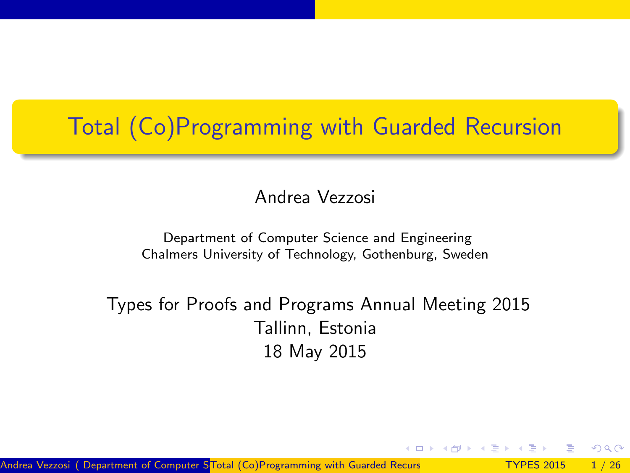# Total (Co)Programming with Guarded Recursion

Andrea Vezzosi

Department of Computer Science and Engineering Chalmers University of Technology, Gothenburg, Sweden

Types for Proofs and Programs Annual Meeting 2015 Tallinn, Estonia 18 May 2015

<span id="page-0-0"></span> $\Omega$ 

Andrea Vezzosi ( Department of Computer STotal (Co)Programming with Guarded Recurs TYPES 2015 1/26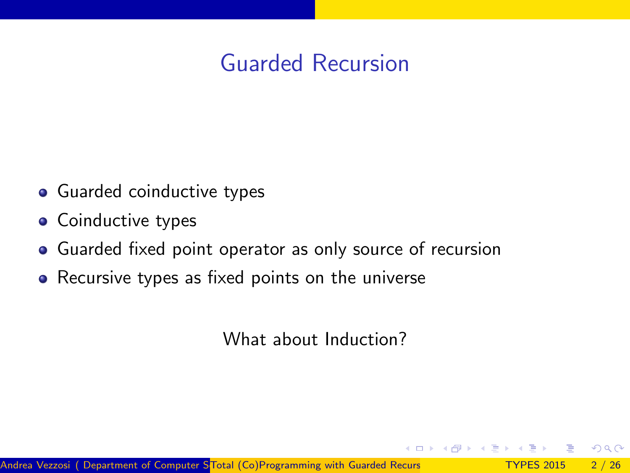# Guarded Recursion

- Guarded coinductive types
- Coinductive types
- Guarded fixed point operator as only source of recursion
- Recursive types as fixed points on the universe

What about Induction?

 $\Omega$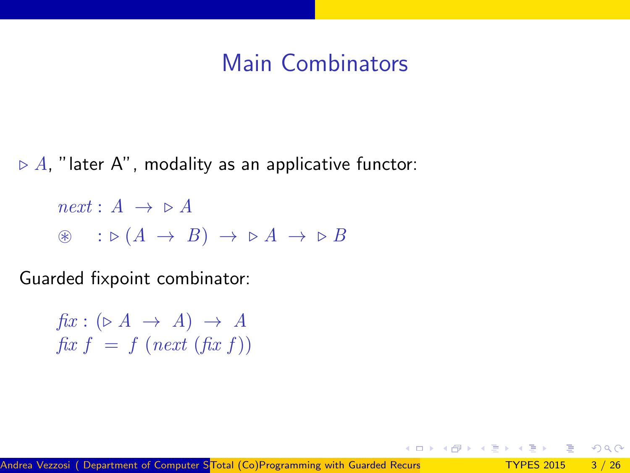## Main Combinators

 $\triangleright$  A, "later A", modality as an applicative functor:

 $next : A \rightarrow \triangleright A$  $\circledast$  :  $\triangleright$   $(A \rightarrow B) \rightarrow \triangleright A \rightarrow \triangleright B$ 

Guarded fixpoint combinator:

 $fix: (\triangleright A \rightarrow A) \rightarrow A$ fix  $f = f$  (next (fix f))

ൗഢ

御 トメモ トメモ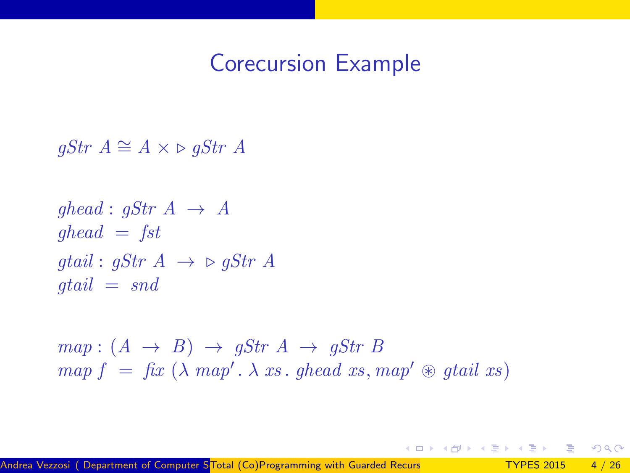#### Corecursion Example

 $qStr A ≅ A × ∞ qStr A$ 

$$
ghead: gStr A \rightarrow A
$$
  
 
$$
ghead = fst
$$
  
 
$$
gtail: gStr A \rightarrow \triangleright gStr A
$$
  
 
$$
gtail = snd
$$

 $map: (A \rightarrow B) \rightarrow gStr A \rightarrow gStr B$  $map f = fix (\lambda map'. \lambda xs. ghead xs, map' \otimes gtail xs)$ 

 $\Omega$ 

**母 > ィヨ > ィ**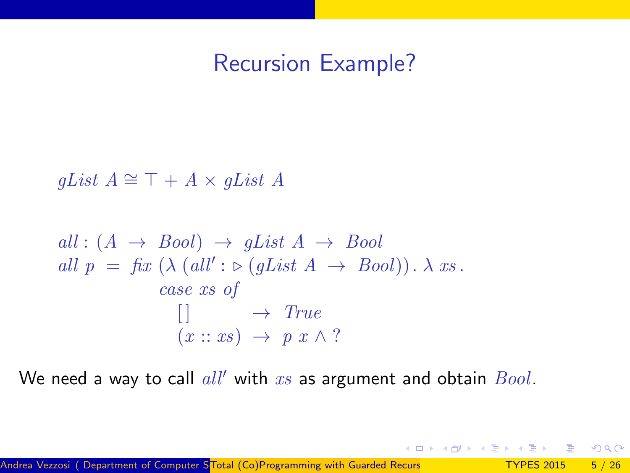### Recursion Example?

qList  $A \cong \top + A \times qList A$ 

$$
all: (A \rightarrow Bool) \rightarrow gList A \rightarrow Bool
$$
  
all  $p = fix (\lambda (all': \triangleright (gList A \rightarrow Bool)). \lambda xs.$   
 $case xs of$   

$$
\begin{array}{c}\n\vdots \\
\downarrow \rightarrow True \\
(x:: xs) \rightarrow p x \land ?\n\end{array}
$$

We need a way to call  $all'$  with  $xs$  as argument and obtain  $Bool$ .

 $\Omega$ 

 $\left\{ \begin{array}{ccc} 1 & 0 & 0 \\ 0 & 1 & 0 \end{array} \right\}$  ,  $\left\{ \begin{array}{ccc} \frac{1}{2} & 0 & 0 \\ 0 & 0 & 0 \end{array} \right\}$  ,  $\left\{ \begin{array}{ccc} \frac{1}{2} & 0 & 0 \\ 0 & 0 & 0 \end{array} \right\}$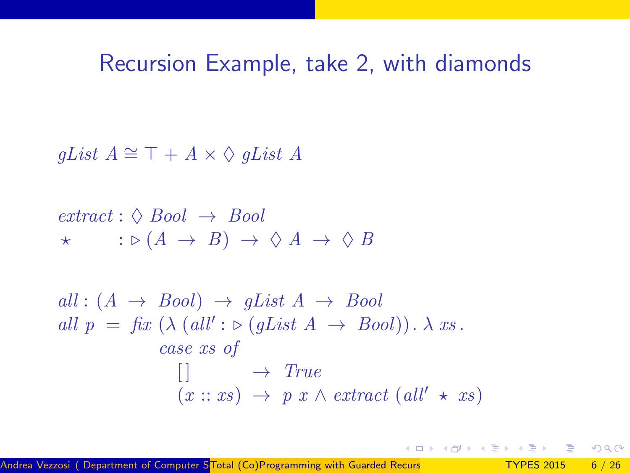### Recursion Example, take 2, with diamonds

qList  $A \cong \top + A \times \Diamond$  qList A

$$
extract: \Diamond \, Bool \rightarrow \, Bool
$$
  
\n
$$
\star \quad : \triangleright (A \rightarrow B) \rightarrow \Diamond \, A \rightarrow \Diamond \, B
$$

$$
all: (A \rightarrow Bool) \rightarrow gList A \rightarrow Bool
$$
  
all  $p = fix (\lambda (all': \triangleright (gList A \rightarrow Bool)). \lambda xs.$   

$$
case xs of
$$
  

$$
[] \rightarrow True
$$
  

$$
(x :: xs) \rightarrow p x \land extract (all' \star xs)
$$

 $QQQ$ 

 $\left\{ \begin{array}{ccc} 1 & 0 & 0 \\ 0 & 1 & 0 \end{array} \right\}$  ,  $\left\{ \begin{array}{ccc} \frac{1}{2} & 0 & 0 \\ 0 & 0 & 0 \end{array} \right\}$  ,  $\left\{ \begin{array}{ccc} \frac{1}{2} & 0 & 0 \\ 0 & 0 & 0 \end{array} \right\}$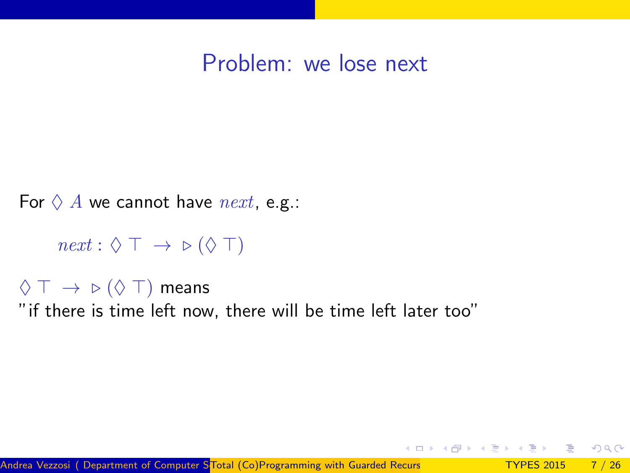#### Problem: we lose next

For  $\Diamond A$  we cannot have next, e.g.:

 $next : \Diamond \top \rightarrow \triangleright (\Diamond \top)$ 

 $\Diamond$  T  $\rightarrow$   $\triangleright$  ( $\Diamond$  T) means "if there is time left now, there will be time left later too"

 $\Omega$ 

∢ 何 ≯ .∢ 重 ≯ .∢ 重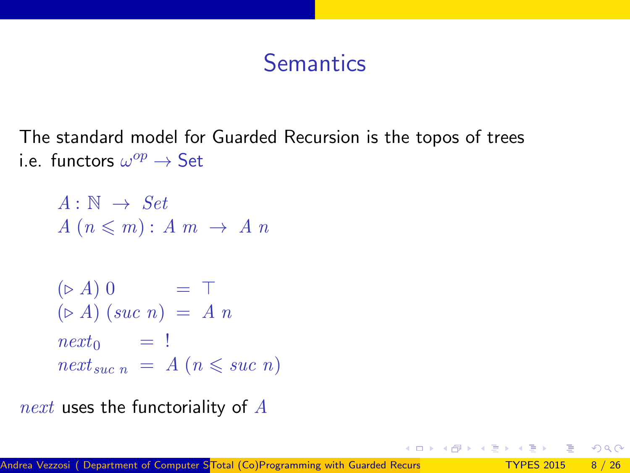# **Semantics**

The standard model for Guarded Recursion is the topos of trees i.e. functors  $\omega^{op} \to \mathsf{Set}$ 

```
A: \mathbb{N} \rightarrow SetA(n \leqslant m): A m \rightarrow A n(\triangleright A) 0 = T
(\triangleright A) (suc n) = A n
next_0 = !next_{succ n} = A (n \leqslant succ n)
```
next uses the functoriality of  $A$ 

 $\Omega$ 

 $\triangleright$   $\rightarrow$   $\exists$   $\triangleright$   $\rightarrow$   $\exists$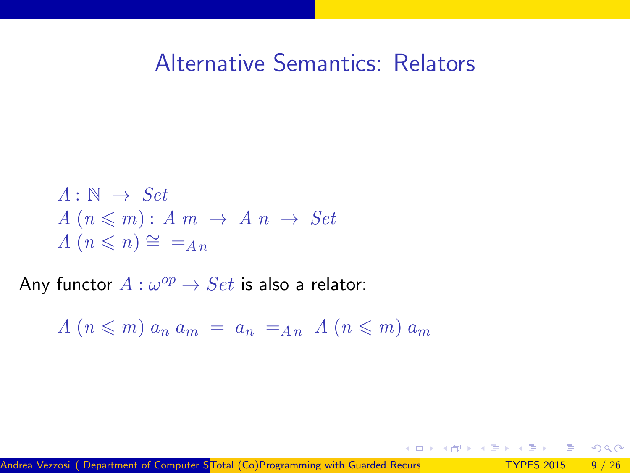#### Alternative Semantics: Relators

 $\sqrt{m}$   $\rightarrow$   $\sqrt{m}$   $\rightarrow$   $\sqrt{m}$ 

- 39

 $\Omega$ 

$$
A: \mathbb{N} \to Set
$$
  

$$
A (n \leq m): A m \to A n \to Set
$$
  

$$
A (n \leq n) \cong =_{An}
$$

Any functor  $A: \omega^{op} \to Set$  is also a relator:

 $A(n \leq m)$   $a_n a_m = a_n = a_n$   $A(n \leq m)$   $a_m$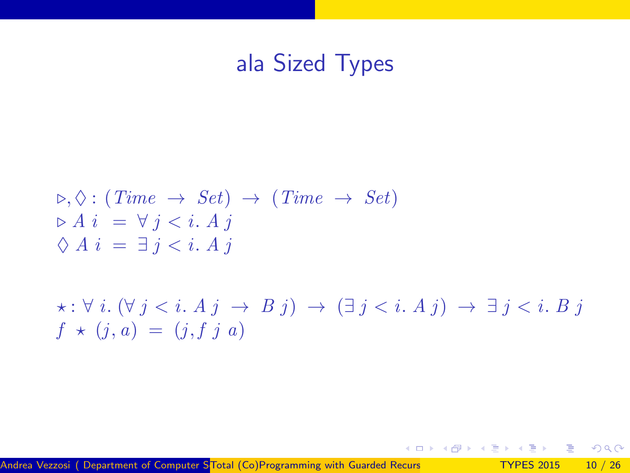# ala Sized Types

$$
\rho, \Diamond: (Time \rightarrow Set) \rightarrow (Time \rightarrow Set)
$$
  
\n
$$
\rho \land i = \forall j < i. \land j
$$
  
\n
$$
\Diamond A i = \exists j < i. \land j
$$
  
\n
$$
\star: \forall i. (\forall j < i. \land j \rightarrow B j) \rightarrow (\exists j < i. \land j) \rightarrow \exists j < i. \land j
$$
  
\n
$$
f \star (j, a) = (j, f j a)
$$

- 로

 $-990$ 

イロト イ部 トイヨ トイヨト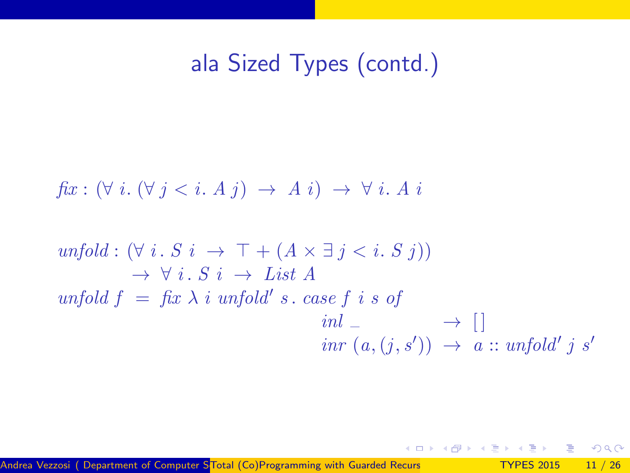# ala Sized Types (contd.)

$$
fix: (\forall i. (\forall j < i. A j) \rightarrow A i) \rightarrow \forall i. A i
$$

$$
unfold: (\forall i. S \ i \rightarrow \top + (A \times \exists j < i. S \ j))
$$
  
\n
$$
\rightarrow \forall i. S \ i \rightarrow List A
$$
  
\n
$$
unfold f = fix \ \lambda \ i \ unfold' \ s. \ case \ f \ i \ s \ of
$$
  
\n
$$
int \_ \rightarrow []
$$
  
\n
$$
inv (a, (j, s')) \rightarrow a :: unfold' \ j \ s'
$$

þ. 造

舌

 $\rightarrow$ 

 $-990$ 

**K ロ ト K 御 ト K 君 ト**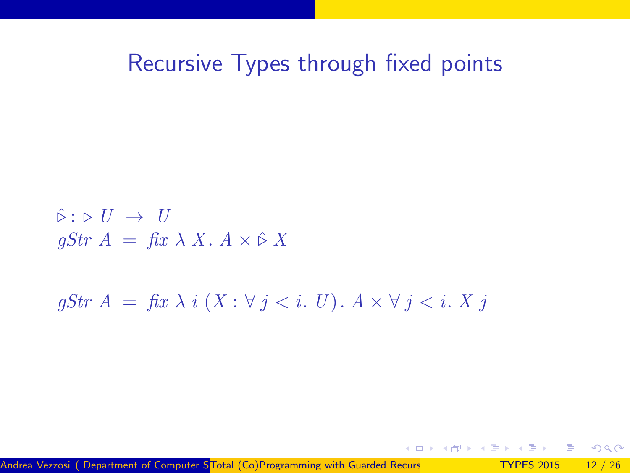#### Recursive Types through fixed points

 $\hat{\triangleright}: \triangleright U \rightarrow U$ qStr  $A = \operatorname{fix} \lambda X$ .  $A \times \hat{\triangleright} X$ 

 $qStr A = fix \lambda i (X : \forall j < i. U)$ .  $A \times \forall j < i. X j$ 

Andrea Vezzosi ( Department of Computer STotal (Co)Programming with Guarded Recurs TYPES 2015 12 / 26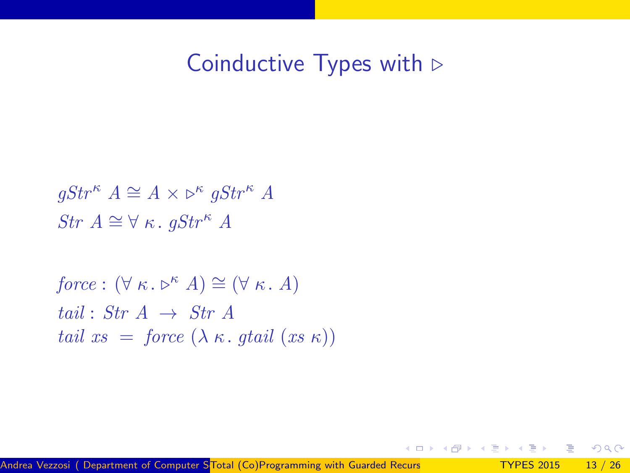#### Coinductive Types with  $\triangleright$

 $gStr^{\kappa} A \cong A \times \rhd^{\kappa} gStr^{\kappa} A$ Str  $A \cong \forall \kappa$ . gStr<sup> $\kappa$ </sup> A

force :  $(\forall \kappa \cdot \triangleright^{\kappa} A) \cong (\forall \kappa \cdot A)$ tail : Str  $A \rightarrow Str A$ tail  $xs = force (\lambda \kappa, \text{qtail } (xs \kappa))$ 

 $QQQ$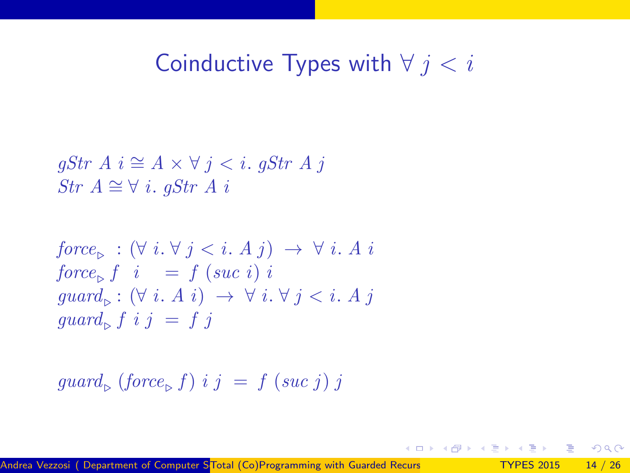# Coinductive Types with  $\forall j < i$

$$
\begin{array}{l} gStr \; A \; i \cong A \times \forall \; j < i. \; gStr \; A \; j \\ Str \; A \cong \forall \; i. \; gStr \; A \; i \end{array}
$$

$$
force_{\triangleright} : (\forall i. \forall j < i. A j) \rightarrow \forall i. A i
$$
  
\n
$$
force_{\triangleright} f \quad i = f \ (suc \ i) \ i
$$
  
\n
$$
guard_{\triangleright} : (\forall i. A i) \rightarrow \forall i. \forall j < i. A j
$$
  
\n
$$
guard_{\triangleright} f \ i \ j = f \ j
$$

$$
guard_{\triangleright} \ (force_{\triangleright} f) \ i \ j \ = \ f \ (suc \ j) \ j
$$

 $\rightarrow$   $\equiv$  990

イロト イ御 トメ ミトメ 毛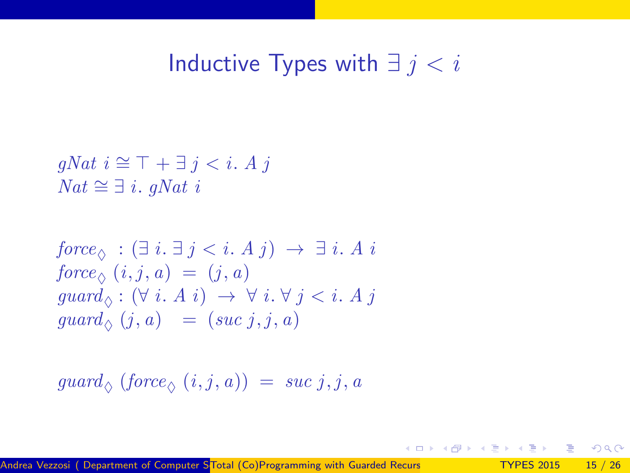## Inductive Types with  $∃ j < i$

 $qNat \nvert i \cong \top + \exists j < i. A j$  $Nat ≈ ∃ i. gNat i$ 

$$
force_{\Diamond} : (\exists i. \exists j < i. A j) \rightarrow \exists i. A i
$$
  
\n
$$
force_{\Diamond} (i, j, a) = (j, a)
$$
  
\n
$$
guard_{\Diamond} : (\forall i. A i) \rightarrow \forall i. \forall j < i. A j
$$
  
\n
$$
guard_{\Diamond} (j, a) = (suc j, j, a)
$$

$$
\mathit{guard}_\Diamond \; \left( \mathit{force}_\Diamond \; (i,j,a) \right) \;=\; \mathit{suc}\; j,j,a
$$

 $\Omega$ 

 $\equiv$ 

4 日下

 $\left\{ \left\vert \left\langle \left\langle \left\langle \mathbf{q} \right\rangle \right\rangle \right\rangle \right\vert \left\langle \mathbf{q} \right\rangle \right\vert \left\langle \mathbf{q} \right\rangle \right\vert \left\langle \mathbf{q} \right\rangle \right\vert \left\langle \mathbf{q} \right\rangle \left\langle \mathbf{q} \right\rangle \right\vert$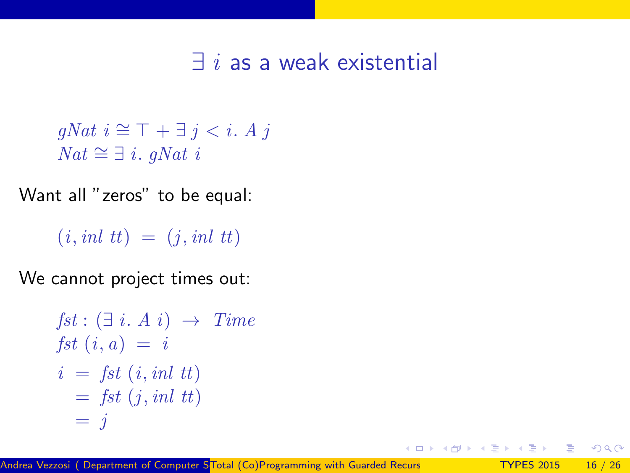#### $\exists$  i as a weak existential

```
qNat \ni \cong \top + \exists j < i. A jNat \cong \exists i. qNat i
```
Want all "zeros" to be equal:

 $(i, inl$   $tt) = (i, inl$   $tt)$ 

We cannot project times out:

```
fst: (\exists i. A i) \rightarrow Timefst (i, a) = ii = fst (i, inl tt)= fst (i, inl tt)
   = i
```
 $\Omega$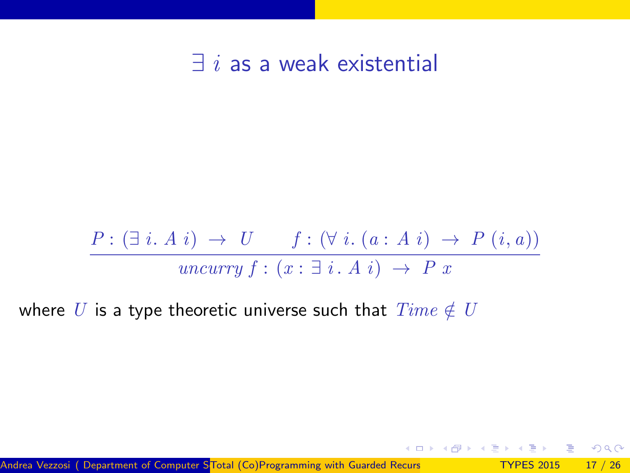$\exists i$  as a weak existential

$$
\frac{P: (\exists i. A i) \rightarrow U \qquad f: (\forall i. (a: A i) \rightarrow P (i, a))}{\text{uncarry } f: (x: \exists i. A i) \rightarrow P x}
$$

where U is a type theoretic universe such that  $Time \notin U$ 

 $\Omega$ 

**K ロ ト K 何 ト K ヨ ト K**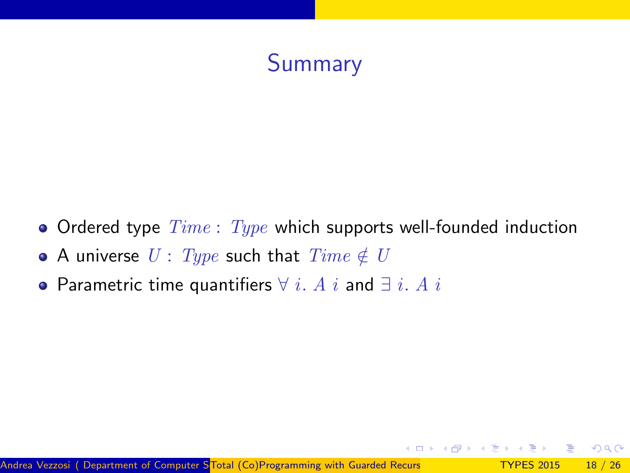# Summary

- Ordered type  $Time: Type$  which supports well-founded induction
- A universe  $U: Type$  such that  $Time \notin U$
- Parametric time quantifiers  $\forall i$ . A i and  $\exists i$ . A i

 $QQQ$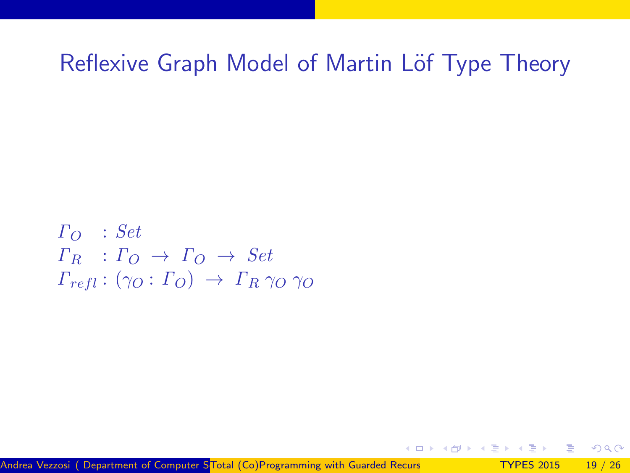## Reflexive Graph Model of Martin Löf Type Theory

$$
\begin{array}{l}\n\Gamma_O & : Set \\
\Gamma_R & : \Gamma_O \to \Gamma_O \to Set \\
\Gamma_{refl} : (\gamma_O : \Gamma_O) \to \Gamma_R \gamma_O \gamma_O\n\end{array}
$$

Andrea Vezzosi ( Department of Computer STotal (Co)Programming with Guarded Recurs TYPES 2015 19 / 26

 $QQ$ 

 $-100$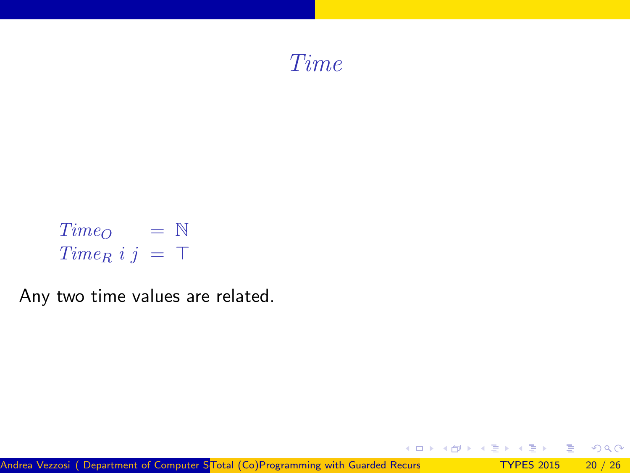

$$
Time_O = \mathbb{N}
$$
  

$$
Time_R i j = \top
$$

Any two time values are related.

造

舌

 $2990$ 

メロトス部 トメミトメ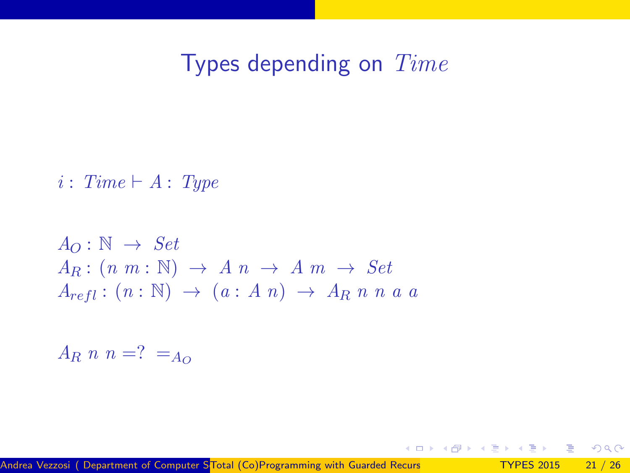## Types depending on Time

メロトス部 トメミトメ

 $\equiv$ - 30

 $\eta$ are

 $i : Time \vdash A : Type$ 

$$
A_O: \mathbb{N} \to Set
$$
  
\n
$$
A_R: (n \ m: \mathbb{N}) \to A \ n \to A \ m \to Set
$$
  
\n
$$
A_{refl}: (n: \mathbb{N}) \to (a: A \ n) \to A_R \ n \ n \ a \ a
$$

 $A_R$  n n =? =  $A_Q$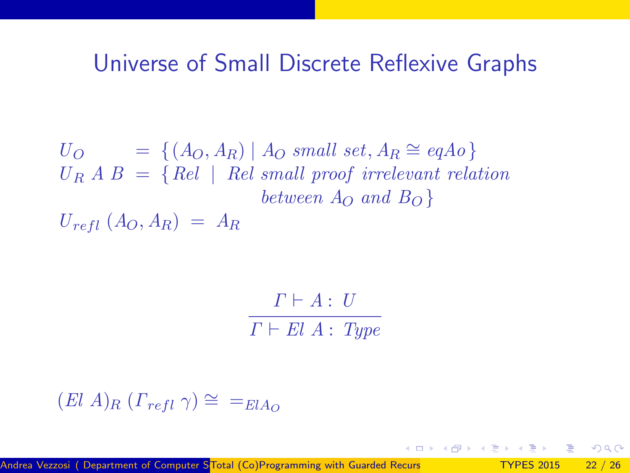#### Universe of Small Discrete Reflexive Graphs

 $U_O$  = {( $A_O, A_R$ ) |  $A_O$  small set,  $A_R \cong eqAo$ }  $U_R A B = \{ Rel \mid Rel \; small \; proof \; irrelevant \; relation$ between  $A_{\Omega}$  and  $B_{\Omega}$ }  $U_{refl}$   $(A_O, A_R) = A_R$ 

> $\Gamma \vdash A : U$  $\Gamma \vdash El A : \textit{Type}$

 $(El A)_{R}$   $(\Gamma_{refl} \gamma) \cong \equiv_{ElA_{Q}}$ 

Andrea Vezzosi ( Department of Computer STotal (Co)Programming with Guarded Recurs TYPES 2015 22 / 26

 $\Omega$ 

 $\rightarrow$   $\rightarrow$   $\rightarrow$   $\rightarrow$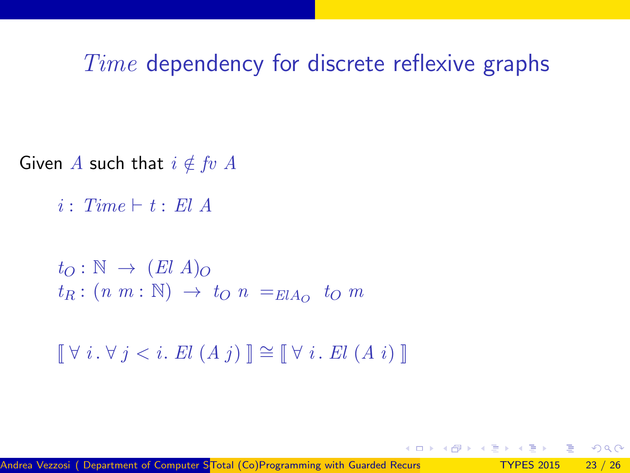#### Time dependency for discrete reflexive graphs

Given A such that  $i \notin fv A$ 

 $i : Time \vdash t : El A$ 

 $t_O : \mathbb{N} \to (El A)_O$  $t_R: (n \; m: \mathbb{N}) \to t_O \; n =_{ElA_O} t_O \; m$ 

 $\left[\nabla i \cdot \nabla i \in i \right]$  El  $(A \, i)$   $\left[\nabla \nabla i \cdot \nabla i \in A \, i \right]$ 

 $QQQ$ 

 $\rightarrow$   $\rightarrow$   $\rightarrow$   $\rightarrow$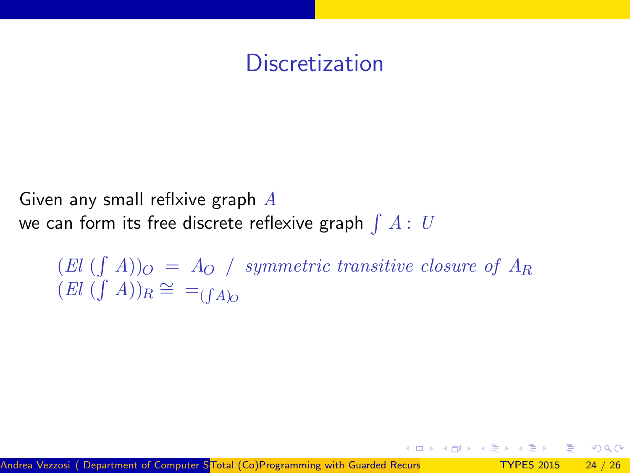## **Discretization**

Given any small reflxive graph  $A$ we can form its free discrete reflexive graph  $\int A:\;U$ 

 $(El \; (\int \; A))_O \; = \; A_O \; / \;$  symmetric transitive closure of  $A_R$  $(El \, (\int A))_R \cong =_{(\int A)_Q}$ 

 $\Omega$ 

∢ 何 ≯ .∢ 重 ≯ .∢ 重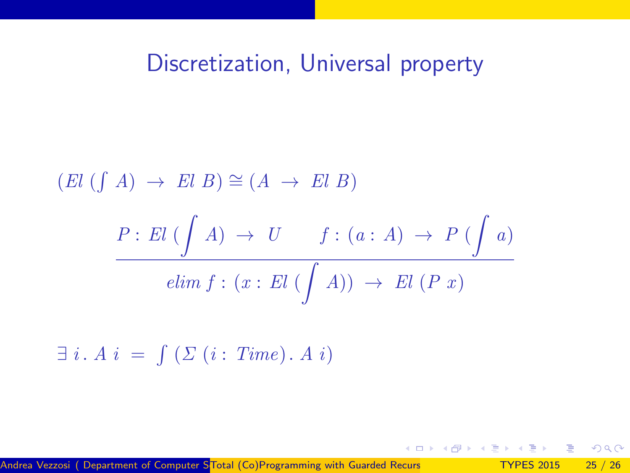### Discretization, Universal property

$$
(El (f A) \rightarrow El B) \cong (A \rightarrow El B)
$$
  

$$
\frac{P: El (\int A) \rightarrow U \quad f: (a: A) \rightarrow P (\int a)}{elim f: (x: El (\int A)) \rightarrow El (P x)}
$$

 $\exists i. A \, i = \int (\Sigma (i: Time). A i)$ 

メー 国

 $\Omega$ 

a mills.

→ イ母 ▶ イヨ ▶ イヨ